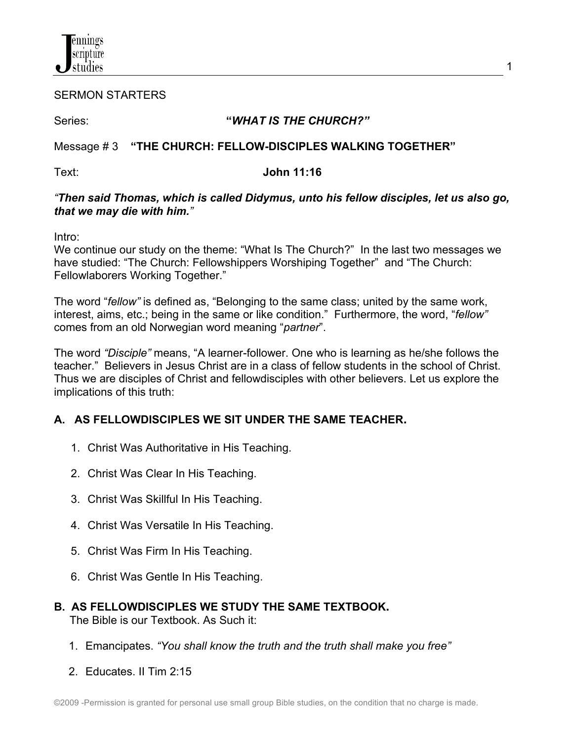

SERMON STARTERS

### Series: **"***WHAT IS THE CHURCH?"*

## Message # 3 **"THE CHURCH: FELLOW-DISCIPLES WALKING TOGETHER"**

### Text: **John 11:16**

#### *"Then said Thomas, which is called Didymus, unto his fellow disciples, let us also go, that we may die with him."*

Intro:

We continue our study on the theme: "What Is The Church?" In the last two messages we have studied: "The Church: Fellowshippers Worshiping Together" and "The Church: Fellowlaborers Working Together."

The word "*fellow"* is defined as, "Belonging to the same class; united by the same work, interest, aims, etc.; being in the same or like condition." Furthermore, the word, "*fellow"* comes from an old Norwegian word meaning "*partner*".

The word *"Disciple"* means, "A learner-follower. One who is learning as he/she follows the teacher." Believers in Jesus Christ are in a class of fellow students in the school of Christ. Thus we are disciples of Christ and fellowdisciples with other believers. Let us explore the implications of this truth:

# **A. AS FELLOWDISCIPLES WE SIT UNDER THE SAME TEACHER.**

- 1. Christ Was Authoritative in His Teaching.
- 2. Christ Was Clear In His Teaching.
- 3. Christ Was Skillful In His Teaching.
- 4. Christ Was Versatile In His Teaching.
- 5. Christ Was Firm In His Teaching.
- 6. Christ Was Gentle In His Teaching.

#### **B. AS FELLOWDISCIPLES WE STUDY THE SAME TEXTBOOK.** The Bible is our Textbook. As Such it:

- 1. Emancipates. *"You shall know the truth and the truth shall make you free"*
- 2. Educates. II Tim 2:15